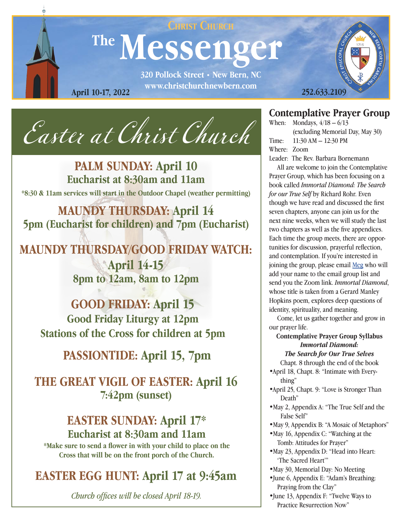

*Easter at Christ Church*

**PALM SUNDAY: April 10 Eucharist at 8:30am and 11am \*8:30 & 11am services will start in the Outdoor Chapel (weather permitting)**

**MAUNDY THURSDAY: April 14 5pm (Eucharist for children) and 7pm (Eucharist)**

# **MAUNDY THURSDAY/GOOD FRIDAY WATCH: April 14-15 8pm to 12am, 8am to 12pm**

**GOOD FRIDAY: April 15 Good Friday Liturgy at 12pm Stations of the Cross for children at 5pm**

**PASSIONTIDE: April 15, 7pm**

**THE GREAT VIGIL OF EASTER: April 16 7:42pm (sunset)**

# **EASTER SUNDAY: April 17\* Eucharist at 8:30am and 11am**

**\*Make sure to send a flower in with your child to place on the Cross that will be on the front porch of the Church.**

# **EASTER EGG HUNT: April 17 at 9:45am**

*Church offices will be closed April 18-19.*

### **Contemplative Prayer Group**

When: Mondays,  $4/18 - 6/13$ (excluding Memorial Day, May 30) Time: 11:30 AM – 12:30 PM Where: Zoom Leader: The Rev. Barbara Bornemann

 All are welcome to join the Contemplative Prayer Group, which has been focusing on a book called *Immortal Diamond: The Search for our True Self* by Richard Rohr. Even though we have read and discussed the first seven chapters, anyone can join us for the next nine weeks, when we will study the last two chapters as well as the five appendices. Each time the group meets, there are opportunities for discussion, prayerful reflection, and contemplation. If you're interested in joining the group, please email [Meg](mailto:Megjones%40christchurchnewbern.com?subject=) who will add your name to the email group list and send you the Zoom link. *Immortal Diamond*, whose title is taken from a Gerard Manley Hopkins poem, explores deep questions of identity, spirituality, and meaning.

 Come, let us gather together and grow in our prayer life.

**Contemplative Prayer Group Syllabus** *Immortal Diamond:* 

*The Search for Our True Selves*

Chapt. 8 through the end of the book •April 18, Chapt. 8: "Intimate with Every-

thing"

- •April 25, Chapt. 9: "Love is Stronger Than Death"
- •May 2, Appendix A: "The True Self and the False Self"
- •May 9, Appendix B: "A Mosaic of Metaphors"
- •May 16, Appendix C: "Watching at the Tomb: Attitudes for Prayer"
- •May 23, Appendix D: "Head into Heart: 'The Sacred Heart'"
- •May 30, Memorial Day: No Meeting
- •June 6, Appendix E: "Adam's Breathing: Praying from the Clay"
- •June 13, Appendix F: "Twelve Ways to Practice Resurrection Now"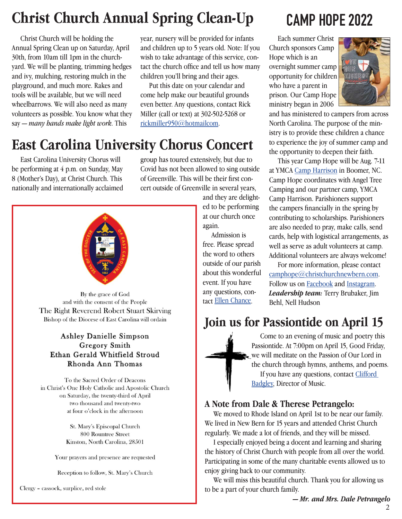# **Christ Church Annual Spring Clean-Up**

Christ Church will be holding the Annual Spring Clean up on Saturday, April 30th, from 10am till 1pm in the churchyard. We will be planting, trimming hedges and ivy, mulching, restoring mulch in the playground, and much more. Rakes and tools will be available, but we will need wheelbarrows. We will also need as many volunteers as possible. You know what they say — *many hands make light work*. This

year, nursery will be provided for infants and children up to 5 years old. Note: If you wish to take advantage of this service, contact the church office and tell us how many children you'll bring and their ages.

 Put this date on your calendar and come help make our beautiful grounds even better. Any questions, contact Rick Miller (call or text) at 302-502-5268 or [rickmiller950@hotmailcom.](mailto:rickmiller950%40hotmailcom?subject=)

# **East Carolina University Chorus Concert**

 East Carolina University Chorus will be performing at 4 p.m. on Sunday, May 8 (Mother's Day), at Christ Church. This nationally and internationally acclaimed



By the grace of God and with the consent of the People The Right Reverend Robert Stuart Skirving Bishop of the Diocese of East Carolina will ordain

#### **Ashley Danielle Simpson** Gregory Smith Ethan Gerald Whitfield Stroud Rhonda Ann Thomas

To the Sacred Order of Deacons in Christ's One Holy Catholic and Apostolic Church on Saturday, the twenty-third of April two thousand and twenty-two at four o'clock in the afternoon

> St. Mary's Episcopal Church 800 Rountree Street Kinston, North Carolina, 28501

Your prayers and presence are requested

Reception to follow, St. Mary's Church

Clergy - cassock, surplice, red stole

group has toured extensively, but due to Covid has not been allowed to sing outside of Greenville. This will be their first concert outside of Greenville in several years,

> and they are delighted to be performing at our church once again.

 Admission is free. Please spread the word to others outside of our parish about this wonderful event. If you have any questions, contact Ellen Chance.

# **CAMP HOPE 2022**

 Each summer Christ Church sponsors Camp Hope which is an overnight summer camp opportunity for children who have a parent in prison. Our Camp Hope ministry began in 2006



and has ministered to campers from across North Carolina. The purpose of the ministry is to provide these children a chance to experience the joy of summer camp and the opportunity to deepen their faith.

 This year Camp Hope will be Aug. 7-11 at YMCA [Camp Harrison]( https://www.ymcacharlotte.org/camps/camp-harrison) in Boomer, NC. Camp Hope coordinates with Angel Tree Camping and our partner camp, YMCA Camp Harrison. Parishioners support the campers financially in the spring by contributing to scholarships. Parishioners are also needed to pray, make calls, send cards, help with logistical arrangements, as well as serve as adult volunteers at camp. Additional volunteers are always welcome!

 For more information, please contact [camphope@christchurchnewbern.com](http://camphope@christchurchnewbern.com). Follow us on [Facebook](https://www.facebook.com/camphopechristchurchnewbern) and [Instagram.](https://www.instagram.com/camphope_cec/) *Leadership team:* Terry Brubaker, Jim Behl, Nell Hudson

# **Join us for Passiontide on April 15**



 Come to an evening of music and poetry this Passiontide. At 7:00pm on April 15, Good Friday, we will meditate on the Passion of Our Lord in the church through hymns, anthems, and poems. If you have any questions, contact Clifford [Badgley,](mailto:cliffordbadgley%40christchurchnewbern.com?subject=) Director of Music.

#### **A Note from Dale & Therese Petrangelo:**

 We moved to Rhode Island on April 1st to be near our family. We lived in New Bern for 15 years and attended Christ Church regularly. We made a lot of friends, and they will be missed.

 I especially enjoyed being a docent and learning and sharing the history of Christ Church with people from all over the world. Participating in some of the many charitable events allowed us to enjoy giving back to our community.

 We will miss this beautiful church. Thank you for allowing us to be a part of your church family.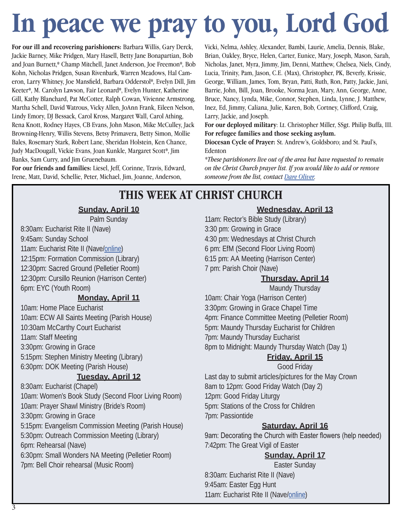# **In peace we pray to you, Lord God**

**For our ill and recovering parishioners:** Barbara Willis, Gary Derck, Jackie Barney, Mike Pridgen, Mary Hasell, Betty Jane Bonapartian, Bob and Joan Burnett,\* Champ Mitchell, Janet Anderson, Joe Freemon\*, Bob Kohn, Nicholas Pridgen, Susan Rivenbark, Warren Meadows, Hal Cameron, Larry Whitney, Joe Mansfield, Barbara Odderstol\*, Evelyn Dill, Jim Keeter\*, M. Carolyn Lawson, Fair Leonard\*, Evelyn Hunter, Katherine Gill, Kathy Blanchard, Pat McCotter, Ralph Cowan, Vivienne Armstrong, Martha Schell, David Watrous, Vicky Allen, JoAnn Frank, Eileen Nelson, Lindy Emory, DJ Bessack, Carol Kross, Margaret Wall, Carol Athing, Rena Knott, Rodney Hayes, CB Evans, John Mason, Mike McCulley, Jack Browning-Henry, Willis Stevens, Betsy Primavera, Betty Simon, Mollie Bales, Rosemary Stark, Robert Lane, Sheridan Holstein, Ken Chance, Judy MacDougall, Vickie Evans, Joan Kunkle, Margaret Scott\*, Jim Banks, Sam Curry, and Jim Gruenebaum.

**For our friends and families:** Liesel, Jeff, Corinne, Travis, Edward, Irene, Matt, David, Schellie, Peter, Michael, Jim, Joanne, Anderson,

Vicki, Nelma, Ashley, Alexander, Bambi, Laurie, Amelia, Dennis, Blake, Brian, Oakley, Bryce, Helen, Carter, Eunice, Mary, Joseph, Mason, Sarah, Nicholas, Janet, Myra, Jimmy, Jim, Denni, Matthew, Chelsea, Niels, Cindy, Lucia, Trinity, Pam, Jason, C.E. (Max), Christopher, PK, Beverly, Krissie, George, William, James, Tom, Bryan, Patti, Ruth, Ron, Patty, Jackie, Jani, Barrie, John, Bill, Joan, Brooke, Norma Jean, Mary, Ann, George, Anne, Bruce, Nancy, Lynda, Mike, Connor, Stephen, Linda, Lynne, J. Matthew, Inez, Ed, Jimmy, Caliana, Julie, Karen, Bob, Cortney, Clifford, Craig, Larry, Jackie, and Joseph.

**For our deployed military**: Lt. Christopher Miller, SSgt. Philip Buffa, III. **For refugee families and those seeking asylum.**

**Diocesan Cycle of Prayer:** St. Andrew's, Goldsboro; and St. Paul's, Edenton

*\*These parishioners live out of the area but have requested to remain on the Christ Church prayer list. If you would like to add or remove someone from the list, contact Dare Oliver.*

# **THIS WEEK AT CHRIST CHURCH**

#### **Sunday, April 10**

Palm Sunday 8:30am: Eucharist Rite II (Nave) 9:45am: Sunday School 11am: Eucharist Rite II (Nave[/online](https://youtu.be/F4xWA-UjHYk))

12:15pm: Formation Commission (Library) 12:30pm: Sacred Ground (Pelletier Room) 12:30pm: Cursillo Reunion (Harrison Center) 6pm: EYC (Youth Room)

#### **Monday, April 11**

10am: Home Place Eucharist 10am: ECW All Saints Meeting (Parish House) 10:30am McCarthy Court Eucharist 11am: Staff Meeting 3:30pm: Growing in Grace 5:15pm: Stephen Ministry Meeting (Library) 6:30pm: DOK Meeting (Parish House)

#### **Tuesday, April 12**

8:30am: Eucharist (Chapel) 10am: Women's Book Study (Second Floor Living Room) 10am: Prayer Shawl Ministry (Bride's Room) 3:30pm: Growing in Grace 5:15pm: Evangelism Commission Meeting (Parish House) 5:30pm: Outreach Commission Meeting (Library) 6pm: Rehearsal (Nave) 6:30pm: Small Wonders NA Meeting (Pelletier Room) 7pm: Bell Choir rehearsal (Music Room)

#### **Wednesday, April 13**

11am: Rector's Bible Study (Library) 3:30 pm: Growing in Grace 4:30 pm: Wednesdays at Christ Church 6 pm: EfM (Second Floor Living Room) 6:15 pm: AA Meeting (Harrison Center) 7 pm: Parish Choir (Nave)

#### **Thursday, April 14**

Maundy Thursday

10am: Chair Yoga (Harrison Center) 3:30pm: Growing in Grace Chapel Time 4pm: Finance Committee Meeting (Pelletier Room) 5pm: Maundy Thursday Eucharist for Children 7pm: Maundy Thursday Eucharist 8pm to Midnight: Maundy Thursday Watch (Day 1)

#### **Friday, April 15**

Good Friday Last day to submit articles/pictures for the May Crown 8am to 12pm: Good Friday Watch (Day 2) 12pm: Good Friday Liturgy 5pm: Stations of the Cross for Children 7pm: Passiontide

#### **Saturday, April 16**

9am: Decorating the Church with Easter flowers (help needed) 7:42pm: The Great Vigil of Easter

#### **Sunday, April 17**

Easter Sunday 8:30am: Eucharist Rite II (Nave) 9:45am: Easter Egg Hunt 11am: Eucharist Rite II (Nave/[online\)](https://youtu.be/OKKkPIL39K8)